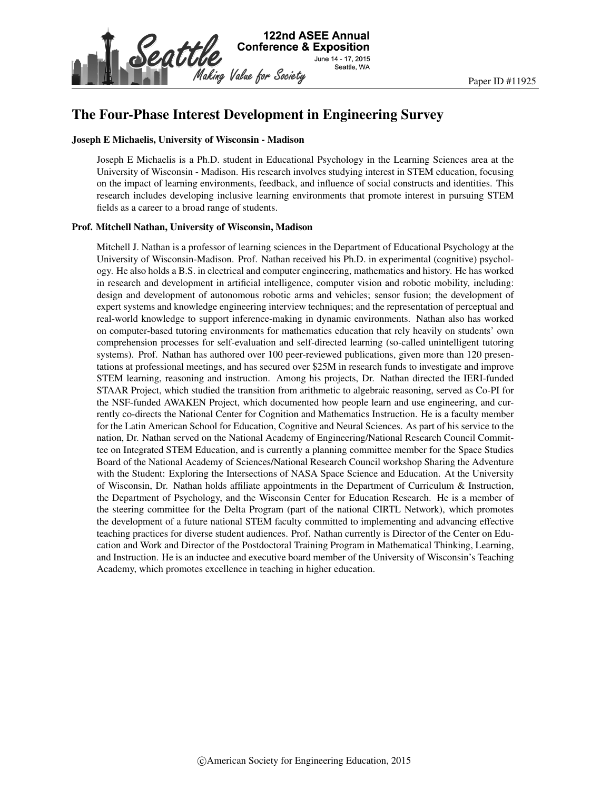

# The Four-Phase Interest Development in Engineering Survey

#### Joseph E Michaelis, University of Wisconsin - Madison

Joseph E Michaelis is a Ph.D. student in Educational Psychology in the Learning Sciences area at the University of Wisconsin - Madison. His research involves studying interest in STEM education, focusing on the impact of learning environments, feedback, and influence of social constructs and identities. This research includes developing inclusive learning environments that promote interest in pursuing STEM fields as a career to a broad range of students.

#### Prof. Mitchell Nathan, University of Wisconsin, Madison

Mitchell J. Nathan is a professor of learning sciences in the Department of Educational Psychology at the University of Wisconsin-Madison. Prof. Nathan received his Ph.D. in experimental (cognitive) psychology. He also holds a B.S. in electrical and computer engineering, mathematics and history. He has worked in research and development in artificial intelligence, computer vision and robotic mobility, including: design and development of autonomous robotic arms and vehicles; sensor fusion; the development of expert systems and knowledge engineering interview techniques; and the representation of perceptual and real-world knowledge to support inference-making in dynamic environments. Nathan also has worked on computer-based tutoring environments for mathematics education that rely heavily on students' own comprehension processes for self-evaluation and self-directed learning (so-called unintelligent tutoring systems). Prof. Nathan has authored over 100 peer-reviewed publications, given more than 120 presentations at professional meetings, and has secured over \$25M in research funds to investigate and improve STEM learning, reasoning and instruction. Among his projects, Dr. Nathan directed the IERI-funded STAAR Project, which studied the transition from arithmetic to algebraic reasoning, served as Co-PI for the NSF-funded AWAKEN Project, which documented how people learn and use engineering, and currently co-directs the National Center for Cognition and Mathematics Instruction. He is a faculty member for the Latin American School for Education, Cognitive and Neural Sciences. As part of his service to the nation, Dr. Nathan served on the National Academy of Engineering/National Research Council Committee on Integrated STEM Education, and is currently a planning committee member for the Space Studies Board of the National Academy of Sciences/National Research Council workshop Sharing the Adventure with the Student: Exploring the Intersections of NASA Space Science and Education. At the University of Wisconsin, Dr. Nathan holds affiliate appointments in the Department of Curriculum & Instruction, the Department of Psychology, and the Wisconsin Center for Education Research. He is a member of the steering committee for the Delta Program (part of the national CIRTL Network), which promotes the development of a future national STEM faculty committed to implementing and advancing effective teaching practices for diverse student audiences. Prof. Nathan currently is Director of the Center on Education and Work and Director of the Postdoctoral Training Program in Mathematical Thinking, Learning, and Instruction. He is an inductee and executive board member of the University of Wisconsin's Teaching Academy, which promotes excellence in teaching in higher education.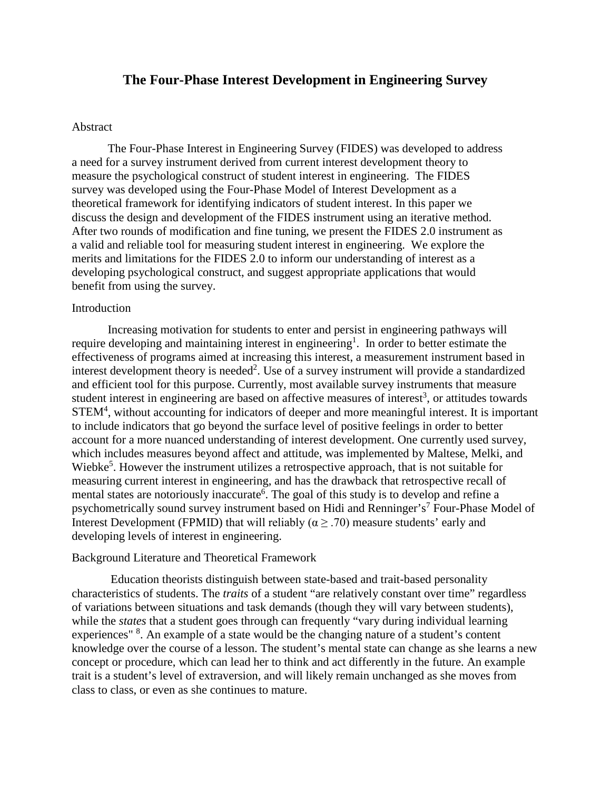# **The Four-Phase Interest Development in Engineering Survey**

### Abstract

The Four-Phase Interest in Engineering Survey (FIDES) was developed to address a need for a survey instrument derived from current interest development theory to measure the psychological construct of student interest in engineering. The FIDES survey was developed using the Four-Phase Model of Interest Development as a theoretical framework for identifying indicators of student interest. In this paper we discuss the design and development of the FIDES instrument using an iterative method. After two rounds of modification and fine tuning, we present the FIDES 2.0 instrument as a valid and reliable tool for measuring student interest in engineering. We explore the merits and limitations for the FIDES 2.0 to inform our understanding of interest as a developing psychological construct, and suggest appropriate applications that would benefit from using the survey.

## Introduction

Increasing motivation for students to enter and persist in engineering pathways will require developing and maintaining interest in engineering<sup>1</sup>. In order to better estimate the effectiveness of programs aimed at increasing this interest, a measurement instrument based in interest development theory is needed<sup>2</sup>. Use of a survey instrument will provide a standardized and efficient tool for this purpose. Currently, most available survey instruments that measure student interest in engineering are based on affective measures of interest<sup>3</sup>, or attitudes towards STEM<sup>4</sup>, without accounting for indicators of deeper and more meaningful interest. It is important to include indicators that go beyond the surface level of positive feelings in order to better account for a more nuanced understanding of interest development. One currently used survey, which includes measures beyond affect and attitude, was implemented by Maltese, Melki, and Wiebke<sup>5</sup>. However the instrument utilizes a retrospective approach, that is not suitable for measuring current interest in engineering, and has the drawback that retrospective recall of mental states are notoriously inaccurate<sup>6</sup>. The goal of this study is to develop and refine a psychometrically sound survey instrument based on Hidi and Renninger's<sup>7</sup> Four-Phase Model of Interest Development (FPMID) that will reliably ( $\alpha \geq .70$ ) measure students' early and developing levels of interest in engineering.

#### Background Literature and Theoretical Framework

Education theorists distinguish between state-based and trait-based personality characteristics of students. The *traits* of a student "are relatively constant over time" regardless of variations between situations and task demands (though they will vary between students), while the *states* that a student goes through can frequently "vary during individual learning experiences" <sup>8</sup>. An example of a state would be the changing nature of a student's content knowledge over the course of a lesson. The student's mental state can change as she learns a new concept or procedure, which can lead her to think and act differently in the future. An example trait is a student's level of extraversion, and will likely remain unchanged as she moves from class to class, or even as she continues to mature.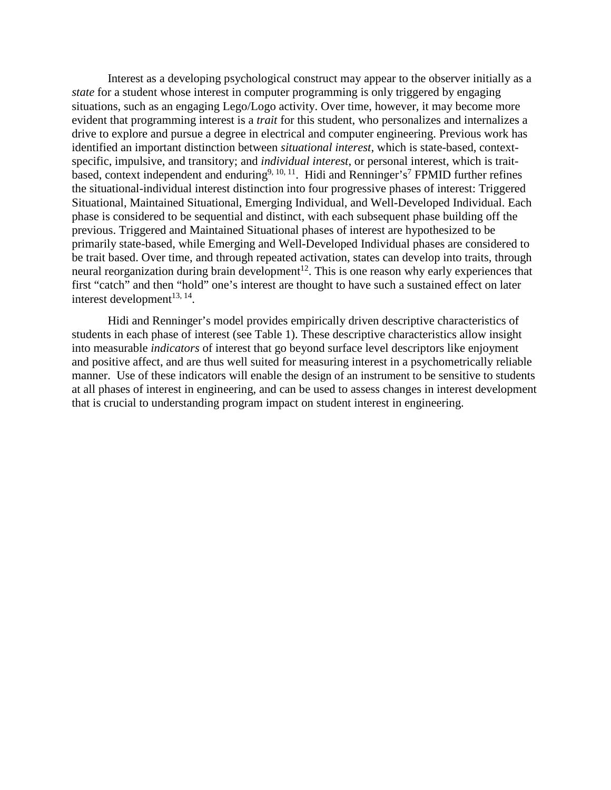Interest as a developing psychological construct may appear to the observer initially as a *state* for a student whose interest in computer programming is only triggered by engaging situations, such as an engaging Lego/Logo activity. Over time, however, it may become more evident that programming interest is a *trait* for this student, who personalizes and internalizes a drive to explore and pursue a degree in electrical and computer engineering. Previous work has identified an important distinction between *situational interest*, which is state-based, contextspecific, impulsive, and transitory; and *individual interest*, or personal interest, which is traitbased, context independent and enduring<sup>9, 10, 11</sup>. Hidi and Renninger's<sup>7</sup> FPMID further refines the situational-individual interest distinction into four progressive phases of interest: Triggered Situational, Maintained Situational, Emerging Individual, and Well-Developed Individual. Each phase is considered to be sequential and distinct, with each subsequent phase building off the previous. Triggered and Maintained Situational phases of interest are hypothesized to be primarily state-based, while Emerging and Well-Developed Individual phases are considered to be trait based. Over time, and through repeated activation, states can develop into traits, through neural reorganization during brain development<sup>12</sup>. This is one reason why early experiences that first "catch" and then "hold" one's interest are thought to have such a sustained effect on later interest development $^{13, 14}$ .

Hidi and Renninger's model provides empirically driven descriptive characteristics of students in each phase of interest (see Table 1). These descriptive characteristics allow insight into measurable *indicators* of interest that go beyond surface level descriptors like enjoyment and positive affect, and are thus well suited for measuring interest in a psychometrically reliable manner. Use of these indicators will enable the design of an instrument to be sensitive to students at all phases of interest in engineering, and can be used to assess changes in interest development that is crucial to understanding program impact on student interest in engineering.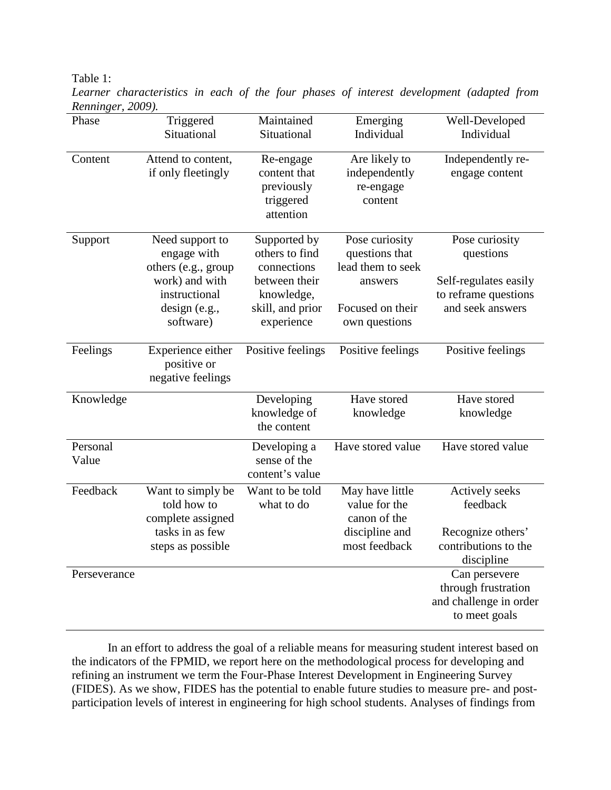Table 1:

*Learner characteristics in each of the four phases of interest development (adapted from Renninger, 2009).*

| Phase             | Triggered<br>Situational                                                                                               | Maintained<br>Situational                                                                                      | Emerging<br>Individual                                                                                | Well-Developed<br>Individual                                                                     |
|-------------------|------------------------------------------------------------------------------------------------------------------------|----------------------------------------------------------------------------------------------------------------|-------------------------------------------------------------------------------------------------------|--------------------------------------------------------------------------------------------------|
| Content           | Attend to content,<br>if only fleetingly                                                                               | Re-engage<br>content that<br>previously<br>triggered<br>attention                                              | Are likely to<br>independently<br>re-engage<br>content                                                | Independently re-<br>engage content                                                              |
| Support           | Need support to<br>engage with<br>others (e.g., group<br>work) and with<br>instructional<br>design (e.g.,<br>software) | Supported by<br>others to find<br>connections<br>between their<br>knowledge,<br>skill, and prior<br>experience | Pose curiosity<br>questions that<br>lead them to seek<br>answers<br>Focused on their<br>own questions | Pose curiosity<br>questions<br>Self-regulates easily<br>to reframe questions<br>and seek answers |
| Feelings          | Experience either<br>positive or<br>negative feelings                                                                  | Positive feelings                                                                                              | Positive feelings                                                                                     | Positive feelings                                                                                |
| Knowledge         |                                                                                                                        | Developing<br>knowledge of<br>the content                                                                      | Have stored<br>knowledge                                                                              | Have stored<br>knowledge                                                                         |
| Personal<br>Value |                                                                                                                        | Developing a<br>sense of the<br>content's value                                                                | Have stored value                                                                                     | Have stored value                                                                                |
| Feedback          | Want to simply be<br>told how to<br>complete assigned<br>tasks in as few<br>steps as possible                          | Want to be told<br>what to do                                                                                  | May have little<br>value for the<br>canon of the<br>discipline and<br>most feedback                   | <b>Actively</b> seeks<br>feedback<br>Recognize others'<br>contributions to the<br>discipline     |
| Perseverance      |                                                                                                                        |                                                                                                                |                                                                                                       | Can persevere<br>through frustration<br>and challenge in order<br>to meet goals                  |

In an effort to address the goal of a reliable means for measuring student interest based on the indicators of the FPMID, we report here on the methodological process for developing and refining an instrument we term the Four-Phase Interest Development in Engineering Survey (FIDES). As we show, FIDES has the potential to enable future studies to measure pre- and postparticipation levels of interest in engineering for high school students. Analyses of findings from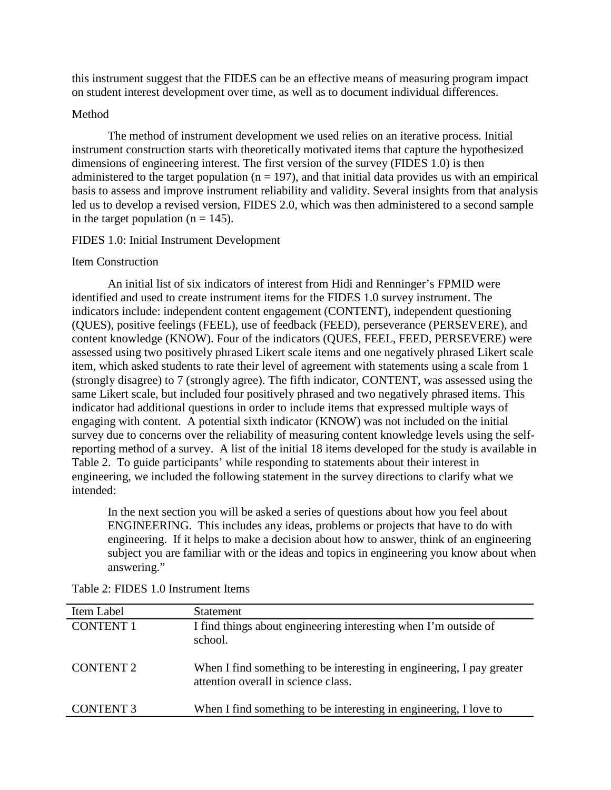this instrument suggest that the FIDES can be an effective means of measuring program impact on student interest development over time, as well as to document individual differences.

# Method

The method of instrument development we used relies on an iterative process. Initial instrument construction starts with theoretically motivated items that capture the hypothesized dimensions of engineering interest. The first version of the survey (FIDES 1.0) is then administered to the target population ( $n = 197$ ), and that initial data provides us with an empirical basis to assess and improve instrument reliability and validity. Several insights from that analysis led us to develop a revised version, FIDES 2.0, which was then administered to a second sample in the target population ( $n = 145$ ).

# FIDES 1.0: Initial Instrument Development

# Item Construction

An initial list of six indicators of interest from Hidi and Renninger's FPMID were identified and used to create instrument items for the FIDES 1.0 survey instrument. The indicators include: independent content engagement (CONTENT), independent questioning (QUES), positive feelings (FEEL), use of feedback (FEED), perseverance (PERSEVERE), and content knowledge (KNOW). Four of the indicators (QUES, FEEL, FEED, PERSEVERE) were assessed using two positively phrased Likert scale items and one negatively phrased Likert scale item, which asked students to rate their level of agreement with statements using a scale from 1 (strongly disagree) to 7 (strongly agree). The fifth indicator, CONTENT, was assessed using the same Likert scale, but included four positively phrased and two negatively phrased items. This indicator had additional questions in order to include items that expressed multiple ways of engaging with content. A potential sixth indicator (KNOW) was not included on the initial survey due to concerns over the reliability of measuring content knowledge levels using the selfreporting method of a survey. A list of the initial 18 items developed for the study is available in Table 2. To guide participants' while responding to statements about their interest in engineering, we included the following statement in the survey directions to clarify what we intended:

In the next section you will be asked a series of questions about how you feel about ENGINEERING. This includes any ideas, problems or projects that have to do with engineering. If it helps to make a decision about how to answer, think of an engineering subject you are familiar with or the ideas and topics in engineering you know about when answering."

| Item Label       | <b>Statement</b>                                                                                             |
|------------------|--------------------------------------------------------------------------------------------------------------|
| <b>CONTENT 1</b> | I find things about engineering interesting when I'm outside of<br>school.                                   |
| <b>CONTENT 2</b> | When I find something to be interesting in engineering, I pay greater<br>attention overall in science class. |
| <b>CONTENT 3</b> | When I find something to be interesting in engineering, I love to                                            |

Table 2: FIDES 1.0 Instrument Items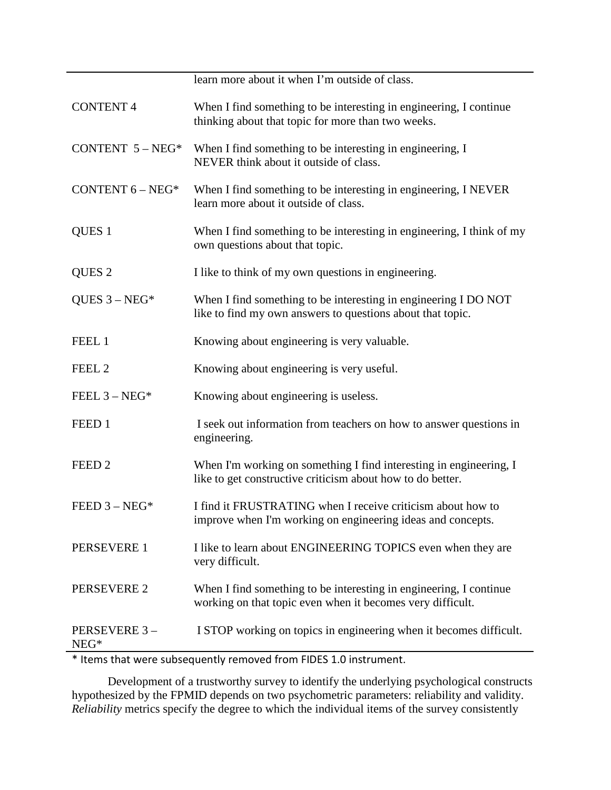|                        | learn more about it when I'm outside of class.                                                                                             |
|------------------------|--------------------------------------------------------------------------------------------------------------------------------------------|
| <b>CONTENT 4</b>       | When I find something to be interesting in engineering, I continue<br>thinking about that topic for more than two weeks.                   |
| CONTENT $5 - NEG*$     | When I find something to be interesting in engineering, I<br>NEVER think about it outside of class.                                        |
| CONTENT $6 - NEG*$     | When I find something to be interesting in engineering, I NEVER<br>learn more about it outside of class.                                   |
| QUES <sub>1</sub>      | When I find something to be interesting in engineering, I think of my<br>own questions about that topic.                                   |
| QUES <sub>2</sub>      | I like to think of my own questions in engineering.                                                                                        |
| QUES $3 - NEG*$        | When I find something to be interesting in engineering I DO NOT<br>like to find my own answers to questions about that topic.              |
| FEEL 1                 | Knowing about engineering is very valuable.                                                                                                |
| FEEL <sub>2</sub>      | Knowing about engineering is very useful.                                                                                                  |
| FEEL $3 - NEG*$        | Knowing about engineering is useless.                                                                                                      |
| FEED 1                 | I seek out information from teachers on how to answer questions in<br>engineering.                                                         |
| FEED <sub>2</sub>      | When I'm working on something I find interesting in engineering, I<br>like to get constructive criticism about how to do better.           |
| FEED $3 - NEG*$        | I find it FRUSTRATING when I receive criticism about how to<br>improve when I'm working on engineering ideas and concepts.                 |
| PERSEVERE 1            | I like to learn about ENGINEERING TOPICS even when they are<br>very difficult.                                                             |
| PERSEVERE 2            | When I find something to be interesting in engineering, I continue<br>working on that topic even when it becomes very difficult.           |
| PERSEVERE 3-<br>$NEG*$ | I STOP working on topics in engineering when it becomes difficult.<br>$\frac{1}{\sqrt{1-\frac{1}{2}}\left(\frac{1}{2}-\frac{1}{2}\right)}$ |

\* Items that were subsequently removed from FIDES 1.0 instrument.

Development of a trustworthy survey to identify the underlying psychological constructs hypothesized by the FPMID depends on two psychometric parameters: reliability and validity. *Reliability* metrics specify the degree to which the individual items of the survey consistently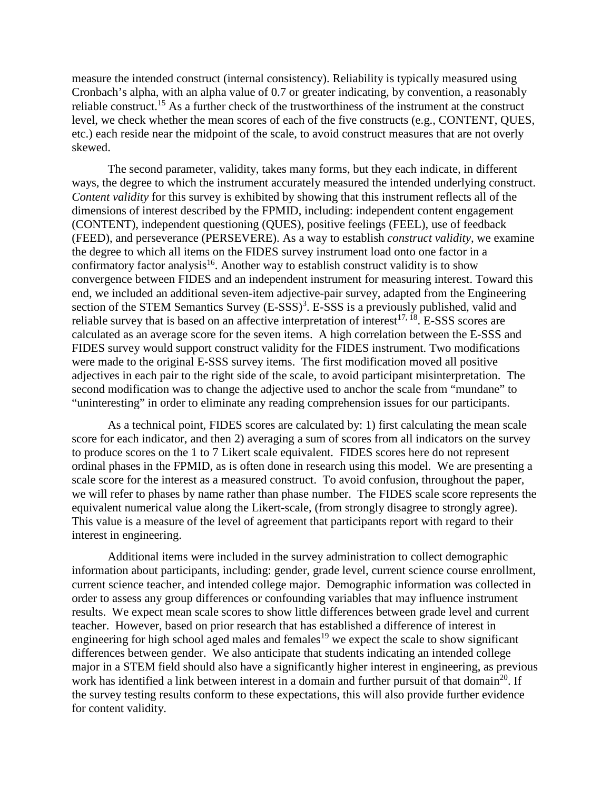measure the intended construct (internal consistency). Reliability is typically measured using Cronbach's alpha, with an alpha value of 0.7 or greater indicating, by convention, a reasonably reliable construct.<sup>15</sup> As a further check of the trustworthiness of the instrument at the construct level, we check whether the mean scores of each of the five constructs (e.g., CONTENT, QUES, etc.) each reside near the midpoint of the scale, to avoid construct measures that are not overly skewed.

The second parameter, validity, takes many forms, but they each indicate, in different ways, the degree to which the instrument accurately measured the intended underlying construct. *Content validity* for this survey is exhibited by showing that this instrument reflects all of the dimensions of interest described by the FPMID, including: independent content engagement (CONTENT), independent questioning (QUES), positive feelings (FEEL), use of feedback (FEED), and perseverance (PERSEVERE). As a way to establish *construct validity*, we examine the degree to which all items on the FIDES survey instrument load onto one factor in a confirmatory factor analysis<sup>16</sup>. Another way to establish construct validity is to show convergence between FIDES and an independent instrument for measuring interest. Toward this end, we included an additional seven-item adjective-pair survey, adapted from the Engineering section of the STEM Semantics Survey (E-SSS)<sup>3</sup>. E-SSS is a previously published, valid and reliable survey that is based on an affective interpretation of interest<sup>17, 18</sup>. E-SSS scores are calculated as an average score for the seven items. A high correlation between the E-SSS and FIDES survey would support construct validity for the FIDES instrument. Two modifications were made to the original E-SSS survey items. The first modification moved all positive adjectives in each pair to the right side of the scale, to avoid participant misinterpretation. The second modification was to change the adjective used to anchor the scale from "mundane" to "uninteresting" in order to eliminate any reading comprehension issues for our participants.

As a technical point, FIDES scores are calculated by: 1) first calculating the mean scale score for each indicator, and then 2) averaging a sum of scores from all indicators on the survey to produce scores on the 1 to 7 Likert scale equivalent. FIDES scores here do not represent ordinal phases in the FPMID, as is often done in research using this model. We are presenting a scale score for the interest as a measured construct. To avoid confusion, throughout the paper, we will refer to phases by name rather than phase number. The FIDES scale score represents the equivalent numerical value along the Likert-scale, (from strongly disagree to strongly agree). This value is a measure of the level of agreement that participants report with regard to their interest in engineering.

Additional items were included in the survey administration to collect demographic information about participants, including: gender, grade level, current science course enrollment, current science teacher, and intended college major. Demographic information was collected in order to assess any group differences or confounding variables that may influence instrument results. We expect mean scale scores to show little differences between grade level and current teacher. However, based on prior research that has established a difference of interest in engineering for high school aged males and females<sup>19</sup> we expect the scale to show significant differences between gender. We also anticipate that students indicating an intended college major in a STEM field should also have a significantly higher interest in engineering, as previous work has identified a link between interest in a domain and further pursuit of that domain<sup>20</sup>. If the survey testing results conform to these expectations, this will also provide further evidence for content validity.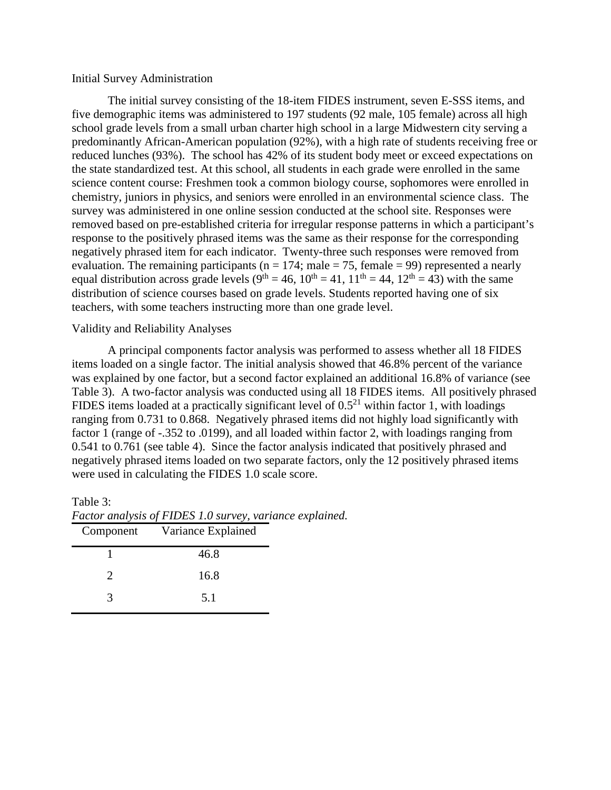#### Initial Survey Administration

The initial survey consisting of the 18-item FIDES instrument, seven E-SSS items, and five demographic items was administered to 197 students (92 male, 105 female) across all high school grade levels from a small urban charter high school in a large Midwestern city serving a predominantly African-American population (92%), with a high rate of students receiving free or reduced lunches (93%). The school has 42% of its student body meet or exceed expectations on the state standardized test. At this school, all students in each grade were enrolled in the same science content course: Freshmen took a common biology course, sophomores were enrolled in chemistry, juniors in physics, and seniors were enrolled in an environmental science class. The survey was administered in one online session conducted at the school site. Responses were removed based on pre-established criteria for irregular response patterns in which a participant's response to the positively phrased items was the same as their response for the corresponding negatively phrased item for each indicator. Twenty-three such responses were removed from evaluation. The remaining participants ( $n = 174$ ; male = 75, female = 99) represented a nearly equal distribution across grade levels ( $9<sup>th</sup> = 46$ ,  $10<sup>th</sup> = 41$ ,  $11<sup>th</sup> = 44$ ,  $12<sup>th</sup> = 43$ ) with the same distribution of science courses based on grade levels. Students reported having one of six teachers, with some teachers instructing more than one grade level.

#### Validity and Reliability Analyses

A principal components factor analysis was performed to assess whether all 18 FIDES items loaded on a single factor. The initial analysis showed that 46.8% percent of the variance was explained by one factor, but a second factor explained an additional 16.8% of variance (see Table 3). A two-factor analysis was conducted using all 18 FIDES items. All positively phrased FIDES items loaded at a practically significant level of  $0.5<sup>21</sup>$  within factor 1, with loadings ranging from 0.731 to 0.868. Negatively phrased items did not highly load significantly with factor 1 (range of -.352 to .0199), and all loaded within factor 2, with loadings ranging from 0.541 to 0.761 (see table 4). Since the factor analysis indicated that positively phrased and negatively phrased items loaded on two separate factors, only the 12 positively phrased items were used in calculating the FIDES 1.0 scale score.

#### Table 3:

| Component | Variance Explained |  |
|-----------|--------------------|--|
|           | 46.8               |  |
|           | 16.8               |  |
|           | 5.1                |  |

*Factor analysis of FIDES 1.0 survey, variance explained.*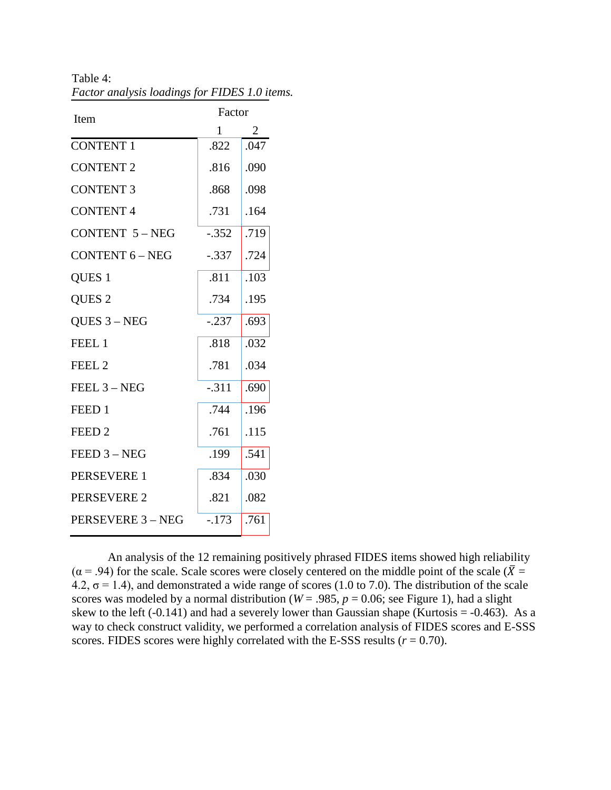| Item                   | Factor  |      |  |
|------------------------|---------|------|--|
|                        | 1       | 2    |  |
| <b>CONTENT 1</b>       | .822    | .047 |  |
| <b>CONTENT 2</b>       | .816    | .090 |  |
| <b>CONTENT 3</b>       | .868    | .098 |  |
| <b>CONTENT4</b>        | .731    | .164 |  |
| <b>CONTENT 5-NEG</b>   | $-.352$ | .719 |  |
| <b>CONTENT 6 - NEG</b> | $-.337$ | .724 |  |
| QUES <sub>1</sub>      | .811    | .103 |  |
| QUES <sub>2</sub>      | .734    | .195 |  |
| QUES $3 - NEG$         | $-.237$ | .693 |  |
| FEEL 1                 | .818    | .032 |  |
| FEEL <sub>2</sub>      | .781    | .034 |  |
| FEEL $3 - NEG$         | $-.311$ | .690 |  |
| FEED <sub>1</sub>      | .744    | .196 |  |
| FEED <sub>2</sub>      | .761    | .115 |  |
| $FED 3 - NEG$          | .199    | .541 |  |
| PERSEVERE 1            | .834    | .030 |  |
| <b>PERSEVERE 2</b>     | .821    | .082 |  |
| PERSEVERE 3 - NEG      | $-.173$ | .761 |  |
|                        |         |      |  |

Table 4: *Factor analysis loadings for FIDES 1.0 items.*

An analysis of the 12 remaining positively phrased FIDES items showed high reliability  $(\alpha = .94)$  for the scale. Scale scores were closely centered on the middle point of the scale ( $\overline{X}$  = 4.2,  $\sigma$  = 1.4), and demonstrated a wide range of scores (1.0 to 7.0). The distribution of the scale scores was modeled by a normal distribution ( $W = .985$ ,  $p = 0.06$ ; see Figure 1), had a slight skew to the left  $(-0.141)$  and had a severely lower than Gaussian shape (Kurtosis =  $-0.463$ ). As a way to check construct validity, we performed a correlation analysis of FIDES scores and E-SSS scores. FIDES scores were highly correlated with the E-SSS results  $(r = 0.70)$ .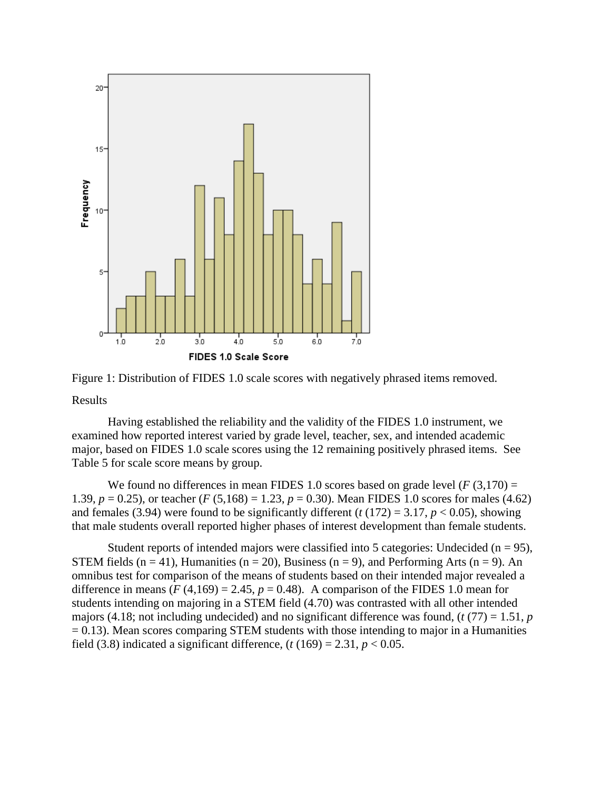

Figure 1: Distribution of FIDES 1.0 scale scores with negatively phrased items removed.

Results

Having established the reliability and the validity of the FIDES 1.0 instrument, we examined how reported interest varied by grade level, teacher, sex, and intended academic major, based on FIDES 1.0 scale scores using the 12 remaining positively phrased items. See Table 5 for scale score means by group.

We found no differences in mean FIDES 1.0 scores based on grade level  $(F(3,170) =$ 1.39,  $p = 0.25$ ), or teacher (*F* (5,168) = 1.23,  $p = 0.30$ ). Mean FIDES 1.0 scores for males (4.62) and females (3.94) were found to be significantly different ( $t(172) = 3.17$ ,  $p < 0.05$ ), showing that male students overall reported higher phases of interest development than female students.

Student reports of intended majors were classified into 5 categories: Undecided ( $n = 95$ ), STEM fields  $(n = 41)$ , Humanities  $(n = 20)$ , Business  $(n = 9)$ , and Performing Arts  $(n = 9)$ . An omnibus test for comparison of the means of students based on their intended major revealed a difference in means  $(F(4,169) = 2.45, p = 0.48)$ . A comparison of the FIDES 1.0 mean for students intending on majoring in a STEM field (4.70) was contrasted with all other intended majors (4.18; not including undecided) and no significant difference was found, (*t* (77) = 1.51, *p*  $= 0.13$ ). Mean scores comparing STEM students with those intending to major in a Humanities field (3.8) indicated a significant difference,  $(t(169) = 2.31, p < 0.05$ .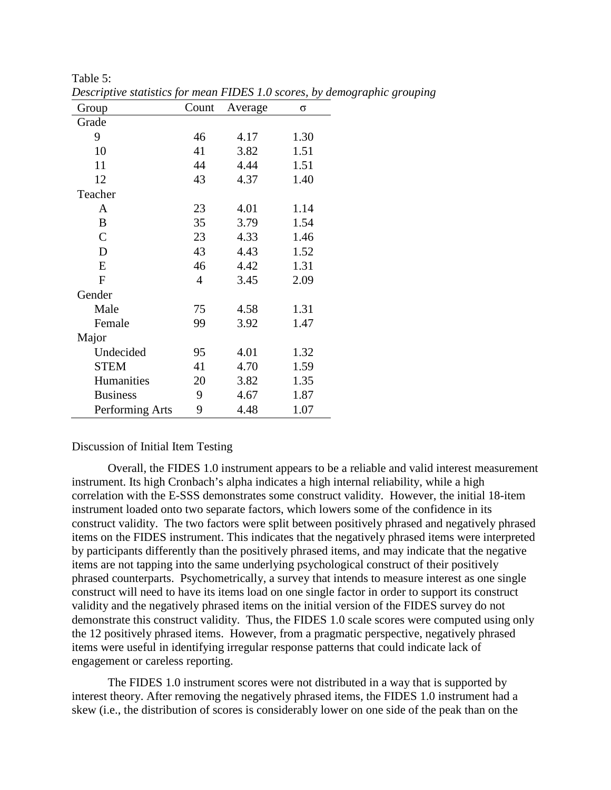| Group           | Count          | Average | $\sigma$ |
|-----------------|----------------|---------|----------|
| Grade           |                |         |          |
| 9               | 46             | 4.17    | 1.30     |
| 10              | 41             | 3.82    | 1.51     |
| 11              | 44             | 4.44    | 1.51     |
| 12              | 43             | 4.37    | 1.40     |
| Teacher         |                |         |          |
| A               | 23             | 4.01    | 1.14     |
| B               | 35             | 3.79    | 1.54     |
| $\mathcal{C}$   | 23             | 4.33    | 1.46     |
| D               | 43             | 4.43    | 1.52     |
| E               | 46             | 4.42    | 1.31     |
| $\mathbf{F}$    | $\overline{4}$ | 3.45    | 2.09     |
| Gender          |                |         |          |
| Male            | 75             | 4.58    | 1.31     |
| Female          | 99             | 3.92    | 1.47     |
| Major           |                |         |          |
| Undecided       | 95             | 4.01    | 1.32     |
| <b>STEM</b>     | 41             | 4.70    | 1.59     |
| Humanities      | 20             | 3.82    | 1.35     |
| <b>Business</b> | 9              | 4.67    | 1.87     |
| Performing Arts | 9              | 4.48    | 1.07     |

*Descriptive statistics for mean FIDES 1.0 scores, by demographic grouping*

### Discussion of Initial Item Testing

Table 5:

Overall, the FIDES 1.0 instrument appears to be a reliable and valid interest measurement instrument. Its high Cronbach's alpha indicates a high internal reliability, while a high correlation with the E-SSS demonstrates some construct validity. However, the initial 18-item instrument loaded onto two separate factors, which lowers some of the confidence in its construct validity. The two factors were split between positively phrased and negatively phrased items on the FIDES instrument. This indicates that the negatively phrased items were interpreted by participants differently than the positively phrased items, and may indicate that the negative items are not tapping into the same underlying psychological construct of their positively phrased counterparts. Psychometrically, a survey that intends to measure interest as one single construct will need to have its items load on one single factor in order to support its construct validity and the negatively phrased items on the initial version of the FIDES survey do not demonstrate this construct validity. Thus, the FIDES 1.0 scale scores were computed using only the 12 positively phrased items. However, from a pragmatic perspective, negatively phrased items were useful in identifying irregular response patterns that could indicate lack of engagement or careless reporting.

The FIDES 1.0 instrument scores were not distributed in a way that is supported by interest theory. After removing the negatively phrased items, the FIDES 1.0 instrument had a skew (i.e., the distribution of scores is considerably lower on one side of the peak than on the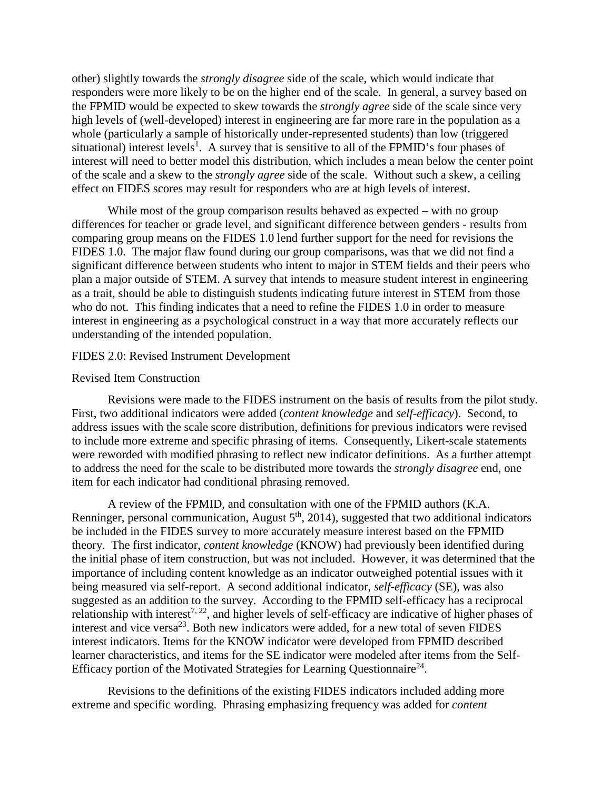other) slightly towards the *strongly disagree* side of the scale, which would indicate that responders were more likely to be on the higher end of the scale. In general, a survey based on the FPMID would be expected to skew towards the *strongly agree* side of the scale since very high levels of (well-developed) interest in engineering are far more rare in the population as a whole (particularly a sample of historically under-represented students) than low (triggered situational) interest levels<sup>1</sup>. A survey that is sensitive to all of the FPMID's four phases of interest will need to better model this distribution, which includes a mean below the center point of the scale and a skew to the *strongly agree* side of the scale. Without such a skew, a ceiling effect on FIDES scores may result for responders who are at high levels of interest.

While most of the group comparison results behaved as expected – with no group differences for teacher or grade level, and significant difference between genders - results from comparing group means on the FIDES 1.0 lend further support for the need for revisions the FIDES 1.0. The major flaw found during our group comparisons, was that we did not find a significant difference between students who intent to major in STEM fields and their peers who plan a major outside of STEM. A survey that intends to measure student interest in engineering as a trait, should be able to distinguish students indicating future interest in STEM from those who do not. This finding indicates that a need to refine the FIDES 1.0 in order to measure interest in engineering as a psychological construct in a way that more accurately reflects our understanding of the intended population.

#### FIDES 2.0: Revised Instrument Development

#### Revised Item Construction

Revisions were made to the FIDES instrument on the basis of results from the pilot study. First, two additional indicators were added (*content knowledge* and *self-efficacy*). Second, to address issues with the scale score distribution, definitions for previous indicators were revised to include more extreme and specific phrasing of items. Consequently, Likert-scale statements were reworded with modified phrasing to reflect new indicator definitions. As a further attempt to address the need for the scale to be distributed more towards the *strongly disagree* end, one item for each indicator had conditional phrasing removed.

A review of the FPMID, and consultation with one of the FPMID authors (K.A. Renninger, personal communication, August  $5<sup>th</sup>$ , 2014), suggested that two additional indicators be included in the FIDES survey to more accurately measure interest based on the FPMID theory. The first indicator, *content knowledge* (KNOW) had previously been identified during the initial phase of item construction, but was not included. However, it was determined that the importance of including content knowledge as an indicator outweighed potential issues with it being measured via self-report. A second additional indicator, *self-efficacy* (SE), was also suggested as an addition to the survey. According to the FPMID self-efficacy has a reciprocal relationship with interest<sup>7, 22</sup>, and higher levels of self-efficacy are indicative of higher phases of interest and vice versa<sup>23</sup>. Both new indicators were added, for a new total of seven FIDES interest indicators. Items for the KNOW indicator were developed from FPMID described learner characteristics, and items for the SE indicator were modeled after items from the Self-Efficacy portion of the Motivated Strategies for Learning Questionnaire<sup>24</sup>.

Revisions to the definitions of the existing FIDES indicators included adding more extreme and specific wording. Phrasing emphasizing frequency was added for *content*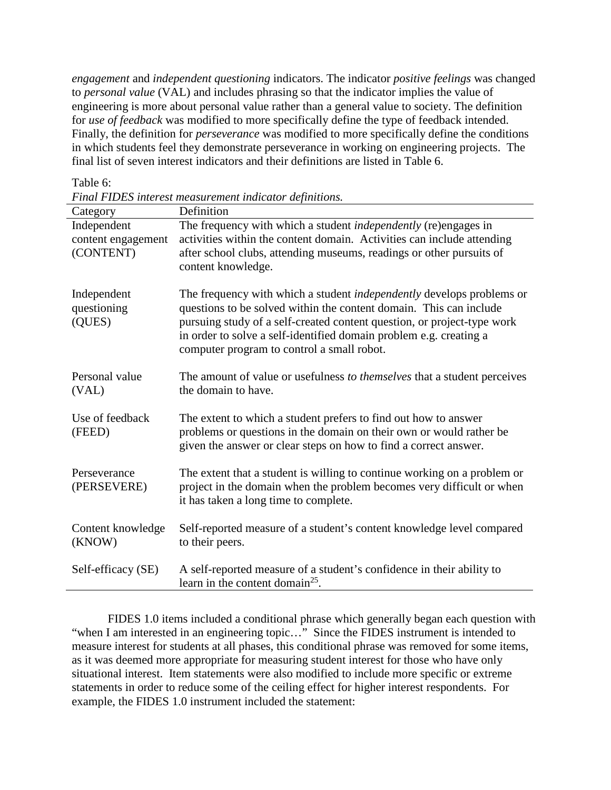*engagement* and *independent questioning* indicators. The indicator *positive feelings* was changed to *personal value* (VAL) and includes phrasing so that the indicator implies the value of engineering is more about personal value rather than a general value to society. The definition for *use of feedback* was modified to more specifically define the type of feedback intended. Finally, the definition for *perseverance* was modified to more specifically define the conditions in which students feel they demonstrate perseverance in working on engineering projects. The final list of seven interest indicators and their definitions are listed in Table 6.

#### Table 6:

*Final FIDES interest measurement indicator definitions.*

| Category                                       | Definition                                                                                                                                                                                                                                                                                                                                 |
|------------------------------------------------|--------------------------------------------------------------------------------------------------------------------------------------------------------------------------------------------------------------------------------------------------------------------------------------------------------------------------------------------|
| Independent<br>content engagement<br>(CONTENT) | The frequency with which a student <i>independently</i> (re)engages in<br>activities within the content domain. Activities can include attending<br>after school clubs, attending museums, readings or other pursuits of<br>content knowledge.                                                                                             |
| Independent<br>questioning<br>(QUES)           | The frequency with which a student independently develops problems or<br>questions to be solved within the content domain. This can include<br>pursuing study of a self-created content question, or project-type work<br>in order to solve a self-identified domain problem e.g. creating a<br>computer program to control a small robot. |
| Personal value<br>(VAL)                        | The amount of value or usefulness to themselves that a student perceives<br>the domain to have.                                                                                                                                                                                                                                            |
| Use of feedback<br>(FEED)                      | The extent to which a student prefers to find out how to answer<br>problems or questions in the domain on their own or would rather be<br>given the answer or clear steps on how to find a correct answer.                                                                                                                                 |
| Perseverance<br>(PERSEVERE)                    | The extent that a student is willing to continue working on a problem or<br>project in the domain when the problem becomes very difficult or when<br>it has taken a long time to complete.                                                                                                                                                 |
| Content knowledge<br>(KNOW)                    | Self-reported measure of a student's content knowledge level compared<br>to their peers.                                                                                                                                                                                                                                                   |
| Self-efficacy (SE)                             | A self-reported measure of a student's confidence in their ability to<br>learn in the content domain <sup>25</sup> .                                                                                                                                                                                                                       |

FIDES 1.0 items included a conditional phrase which generally began each question with "when I am interested in an engineering topic..." Since the FIDES instrument is intended to measure interest for students at all phases, this conditional phrase was removed for some items, as it was deemed more appropriate for measuring student interest for those who have only situational interest. Item statements were also modified to include more specific or extreme statements in order to reduce some of the ceiling effect for higher interest respondents. For example, the FIDES 1.0 instrument included the statement: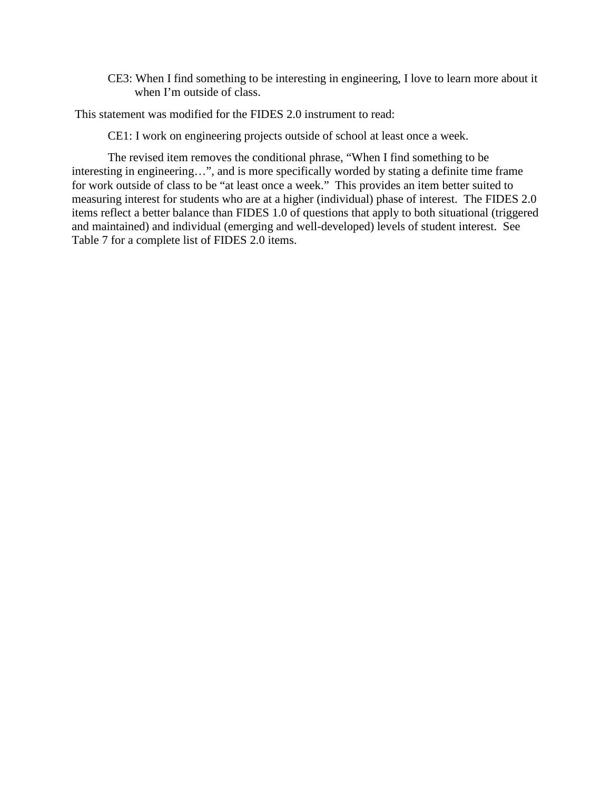CE3: When I find something to be interesting in engineering, I love to learn more about it when I'm outside of class.

This statement was modified for the FIDES 2.0 instrument to read:

CE1: I work on engineering projects outside of school at least once a week.

The revised item removes the conditional phrase, "When I find something to be interesting in engineering…", and is more specifically worded by stating a definite time frame for work outside of class to be "at least once a week." This provides an item better suited to measuring interest for students who are at a higher (individual) phase of interest. The FIDES 2.0 items reflect a better balance than FIDES 1.0 of questions that apply to both situational (triggered and maintained) and individual (emerging and well-developed) levels of student interest. See Table 7 for a complete list of FIDES 2.0 items.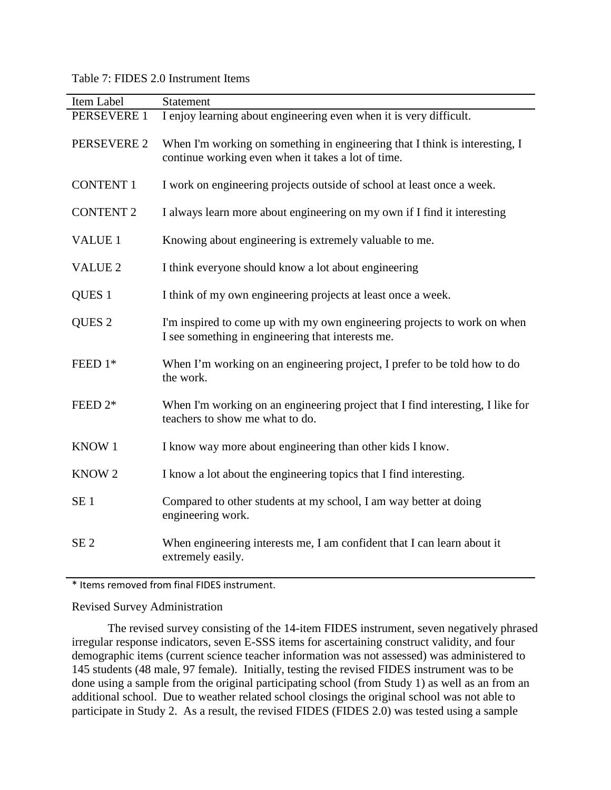# Table 7: FIDES 2.0 Instrument Items

| Item Label        | <b>Statement</b>                                                                                                                  |
|-------------------|-----------------------------------------------------------------------------------------------------------------------------------|
| PERSEVERE 1       | I enjoy learning about engineering even when it is very difficult.                                                                |
| PERSEVERE 2       | When I'm working on something in engineering that I think is interesting, I<br>continue working even when it takes a lot of time. |
| <b>CONTENT 1</b>  | I work on engineering projects outside of school at least once a week.                                                            |
| <b>CONTENT 2</b>  | I always learn more about engineering on my own if I find it interesting                                                          |
| VALUE 1           | Knowing about engineering is extremely valuable to me.                                                                            |
| <b>VALUE 2</b>    | I think everyone should know a lot about engineering                                                                              |
| QUES <sub>1</sub> | I think of my own engineering projects at least once a week.                                                                      |
| QUES <sub>2</sub> | I'm inspired to come up with my own engineering projects to work on when<br>I see something in engineering that interests me.     |
| FEED 1*           | When I'm working on an engineering project, I prefer to be told how to do<br>the work.                                            |
| FEED 2*           | When I'm working on an engineering project that I find interesting, I like for<br>teachers to show me what to do.                 |
| KNOW 1            | I know way more about engineering than other kids I know.                                                                         |
| KNOW <sub>2</sub> | I know a lot about the engineering topics that I find interesting.                                                                |
| SE <sub>1</sub>   | Compared to other students at my school, I am way better at doing<br>engineering work.                                            |
| SE <sub>2</sub>   | When engineering interests me, I am confident that I can learn about it<br>extremely easily.                                      |

\* Items removed from final FIDES instrument.

## Revised Survey Administration

The revised survey consisting of the 14-item FIDES instrument, seven negatively phrased irregular response indicators, seven E-SSS items for ascertaining construct validity, and four demographic items (current science teacher information was not assessed) was administered to 145 students (48 male, 97 female). Initially, testing the revised FIDES instrument was to be done using a sample from the original participating school (from Study 1) as well as an from an additional school. Due to weather related school closings the original school was not able to participate in Study 2. As a result, the revised FIDES (FIDES 2.0) was tested using a sample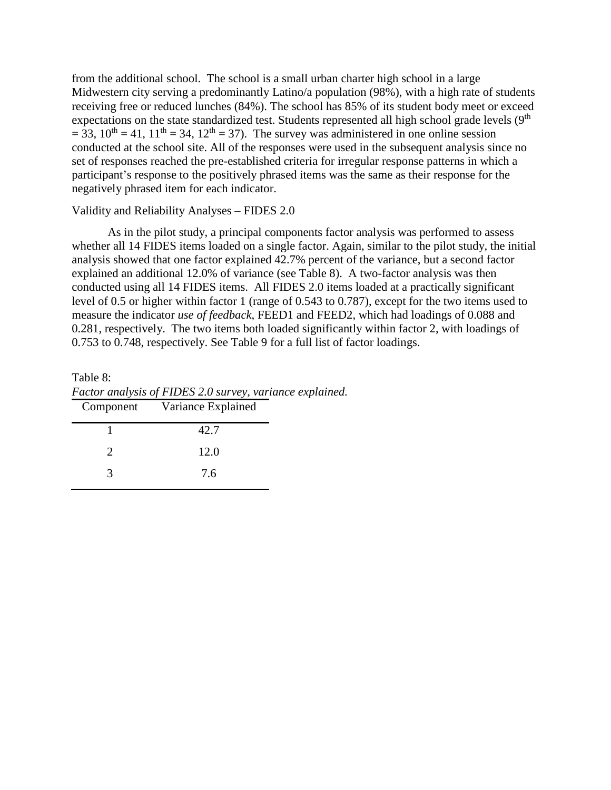from the additional school. The school is a small urban charter high school in a large Midwestern city serving a predominantly Latino/a population (98%), with a high rate of students receiving free or reduced lunches (84%). The school has 85% of its student body meet or exceed expectations on the state standardized test. Students represented all high school grade levels (9<sup>th</sup>)  $= 33$ ,  $10^{th} = 41$ ,  $11^{th} = 34$ ,  $12^{th} = 37$ ). The survey was administered in one online session conducted at the school site. All of the responses were used in the subsequent analysis since no set of responses reached the pre-established criteria for irregular response patterns in which a participant's response to the positively phrased items was the same as their response for the negatively phrased item for each indicator.

## Validity and Reliability Analyses – FIDES 2.0

As in the pilot study, a principal components factor analysis was performed to assess whether all 14 FIDES items loaded on a single factor. Again, similar to the pilot study, the initial analysis showed that one factor explained 42.7% percent of the variance, but a second factor explained an additional 12.0% of variance (see Table 8). A two-factor analysis was then conducted using all 14 FIDES items. All FIDES 2.0 items loaded at a practically significant level of 0.5 or higher within factor 1 (range of 0.543 to 0.787), except for the two items used to measure the indicator *use of feedback*, FEED1 and FEED2, which had loadings of 0.088 and 0.281, respectively. The two items both loaded significantly within factor 2, with loadings of 0.753 to 0.748, respectively. See Table 9 for a full list of factor loadings.

Table 8: *Factor analysis of FIDES 2.0 survey, variance explained.*

| Component | Variance Explained |  |
|-----------|--------------------|--|
|           | 42.7               |  |
|           | 12.0               |  |
|           | 7.6                |  |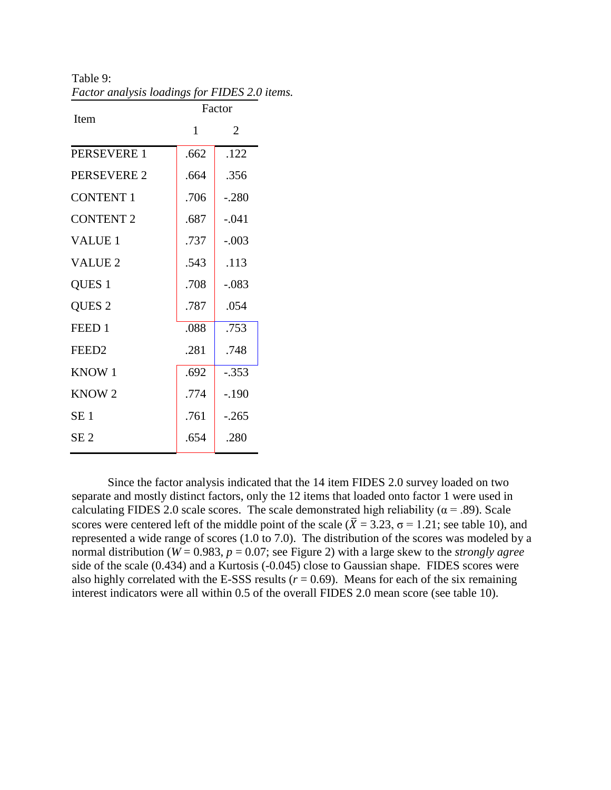Table 9: *Factor analysis loadings for FIDES 2.0 items.*

| Item               | Factor |         |  |
|--------------------|--------|---------|--|
|                    | 1      | 2       |  |
| PERSEVERE 1        | .662   | .122    |  |
| <b>PERSEVERE 2</b> | .664   | .356    |  |
| <b>CONTENT 1</b>   | .706   | $-.280$ |  |
| <b>CONTENT 2</b>   | .687   | $-.041$ |  |
| <b>VALUE 1</b>     | .737   | $-.003$ |  |
| <b>VALUE 2</b>     | .543   | .113    |  |
| QUES <sub>1</sub>  | .708   | $-.083$ |  |
| QUES <sub>2</sub>  | .787   | .054    |  |
| FEED 1             | .088   | .753    |  |
| FEED <sub>2</sub>  | .281   | .748    |  |
| KNOW <sub>1</sub>  | .692   | $-.353$ |  |
| KNOW <sub>2</sub>  | .774   | $-.190$ |  |
| SE <sub>1</sub>    | .761   | $-.265$ |  |
| SE <sub>2</sub>    | .654   | .280    |  |

Since the factor analysis indicated that the 14 item FIDES 2.0 survey loaded on two separate and mostly distinct factors, only the 12 items that loaded onto factor 1 were used in calculating FIDES 2.0 scale scores. The scale demonstrated high reliability ( $\alpha$  = .89). Scale scores were centered left of the middle point of the scale ( $\overline{X} = 3.23$ ,  $\sigma = 1.21$ ; see table 10), and represented a wide range of scores (1.0 to 7.0). The distribution of the scores was modeled by a normal distribution (*W* = 0.983, *p* = 0.07; see Figure 2) with a large skew to the *strongly agree* side of the scale (0.434) and a Kurtosis (-0.045) close to Gaussian shape. FIDES scores were also highly correlated with the E-SSS results  $(r = 0.69)$ . Means for each of the six remaining interest indicators were all within 0.5 of the overall FIDES 2.0 mean score (see table 10).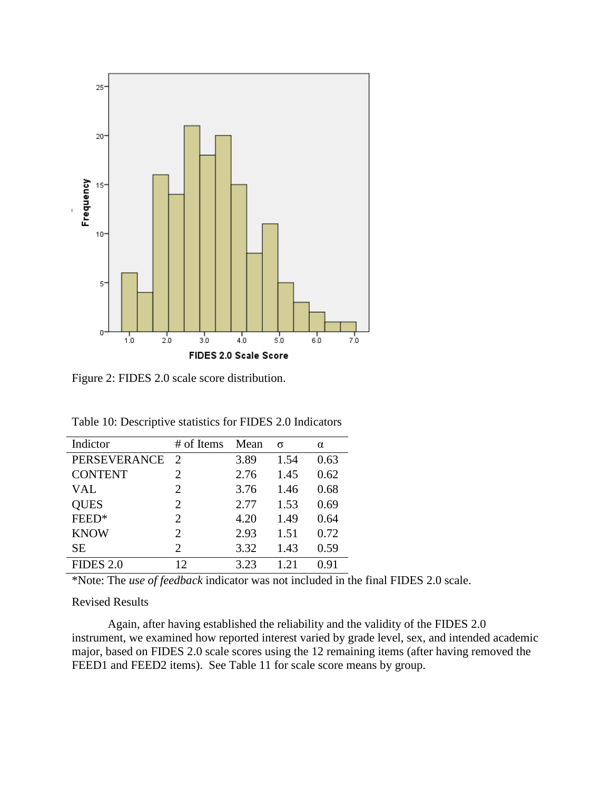

Figure 2: FIDES 2.0 scale score distribution.

| Table 10: Descriptive statistics for FIDES 2.0 Indicators |  |  |  |
|-----------------------------------------------------------|--|--|--|
|-----------------------------------------------------------|--|--|--|

| Indictor            | # of Items                  | Mean | σ    | $\alpha$ |
|---------------------|-----------------------------|------|------|----------|
| <b>PERSEVERANCE</b> | $\mathcal{D}_{\mathcal{L}}$ | 3.89 | 1.54 | 0.63     |
| <b>CONTENT</b>      | 2                           | 2.76 | 1.45 | 0.62     |
| <b>VAL</b>          | 2                           | 3.76 | 1.46 | 0.68     |
| <b>QUES</b>         | 2                           | 2.77 | 1.53 | 0.69     |
| FEED*               | 2                           | 4.20 | 1.49 | 0.64     |
| <b>KNOW</b>         | 2                           | 2.93 | 1.51 | 0.72     |
| <b>SE</b>           | $\mathcal{D}_{\cdot}$       | 3.32 | 1.43 | 0.59     |
| <b>FIDES 2.0</b>    | 12                          | 3.23 | 1 21 | 0.91     |

\*Note: The *use of feedback* indicator was not included in the final FIDES 2.0 scale.

## Revised Results

Again, after having established the reliability and the validity of the FIDES 2.0 instrument, we examined how reported interest varied by grade level, sex, and intended academic major, based on FIDES 2.0 scale scores using the 12 remaining items (after having removed the FEED1 and FEED2 items). See Table 11 for scale score means by group.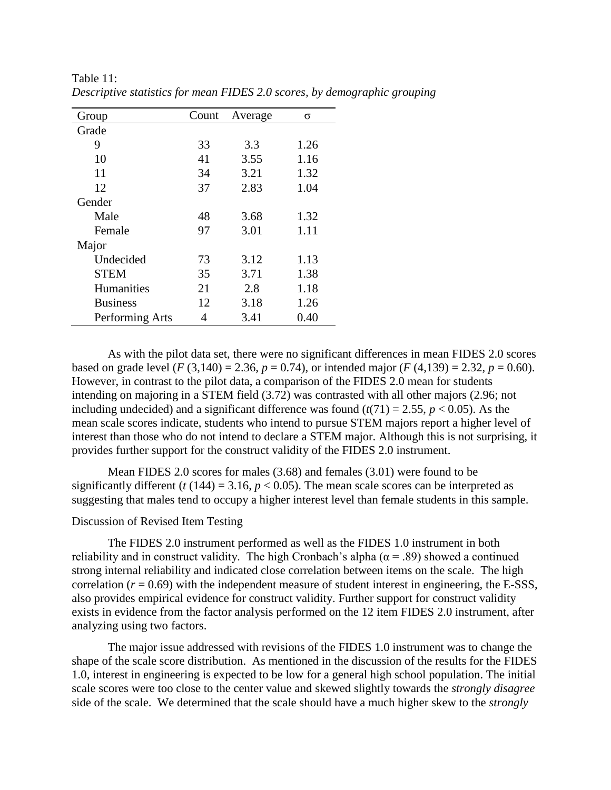| Group           | Count | Average | σ    |
|-----------------|-------|---------|------|
| Grade           |       |         |      |
| 9               | 33    | 3.3     | 1.26 |
| 10              | 41    | 3.55    | 1.16 |
| 11              | 34    | 3.21    | 1.32 |
| 12              | 37    | 2.83    | 1.04 |
| Gender          |       |         |      |
| Male            | 48    | 3.68    | 1.32 |
| Female          | 97    | 3.01    | 1.11 |
| Major           |       |         |      |
| Undecided       | 73    | 3.12    | 1.13 |
| <b>STEM</b>     | 35    | 3.71    | 1.38 |
| Humanities      | 21    | 2.8     | 1.18 |
| <b>Business</b> | 12    | 3.18    | 1.26 |
| Performing Arts | 4     | 3.41    | 0.40 |

Table 11: *Descriptive statistics for mean FIDES 2.0 scores, by demographic grouping*

As with the pilot data set, there were no significant differences in mean FIDES 2.0 scores based on grade level (*F* (3,140) = 2.36,  $p = 0.74$ ), or intended major (*F* (4,139) = 2.32,  $p = 0.60$ ). However, in contrast to the pilot data, a comparison of the FIDES 2.0 mean for students intending on majoring in a STEM field (3.72) was contrasted with all other majors (2.96; not including undecided) and a significant difference was found  $(t(71) = 2.55, p < 0.05)$ . As the mean scale scores indicate, students who intend to pursue STEM majors report a higher level of interest than those who do not intend to declare a STEM major. Although this is not surprising, it provides further support for the construct validity of the FIDES 2.0 instrument.

Mean FIDES 2.0 scores for males (3.68) and females (3.01) were found to be significantly different ( $t(144) = 3.16$ ,  $p < 0.05$ ). The mean scale scores can be interpreted as suggesting that males tend to occupy a higher interest level than female students in this sample.

### Discussion of Revised Item Testing

The FIDES 2.0 instrument performed as well as the FIDES 1.0 instrument in both reliability and in construct validity. The high Cronbach's alpha ( $\alpha$  = .89) showed a continued strong internal reliability and indicated close correlation between items on the scale. The high correlation  $(r = 0.69)$  with the independent measure of student interest in engineering, the E-SSS, also provides empirical evidence for construct validity. Further support for construct validity exists in evidence from the factor analysis performed on the 12 item FIDES 2.0 instrument, after analyzing using two factors.

The major issue addressed with revisions of the FIDES 1.0 instrument was to change the shape of the scale score distribution. As mentioned in the discussion of the results for the FIDES 1.0, interest in engineering is expected to be low for a general high school population. The initial scale scores were too close to the center value and skewed slightly towards the *strongly disagree* side of the scale. We determined that the scale should have a much higher skew to the *strongly*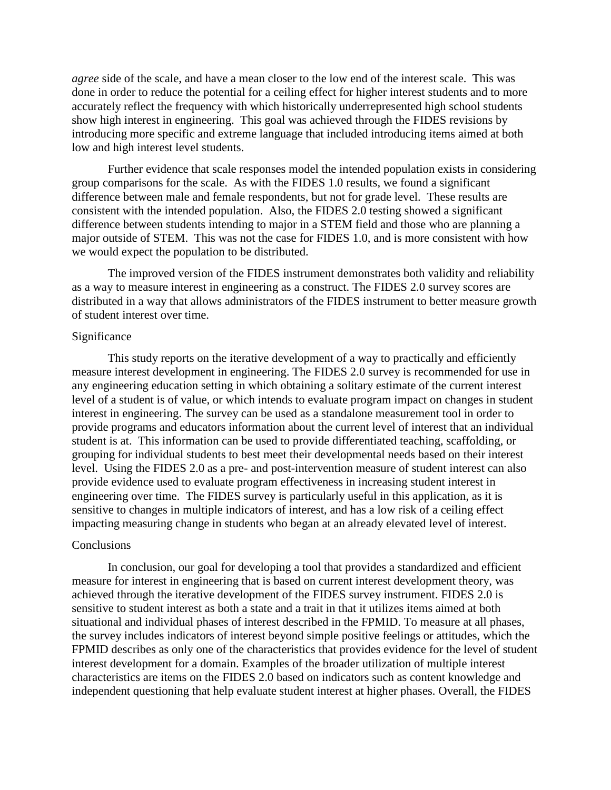*agree* side of the scale, and have a mean closer to the low end of the interest scale. This was done in order to reduce the potential for a ceiling effect for higher interest students and to more accurately reflect the frequency with which historically underrepresented high school students show high interest in engineering. This goal was achieved through the FIDES revisions by introducing more specific and extreme language that included introducing items aimed at both low and high interest level students.

Further evidence that scale responses model the intended population exists in considering group comparisons for the scale. As with the FIDES 1.0 results, we found a significant difference between male and female respondents, but not for grade level. These results are consistent with the intended population. Also, the FIDES 2.0 testing showed a significant difference between students intending to major in a STEM field and those who are planning a major outside of STEM. This was not the case for FIDES 1.0, and is more consistent with how we would expect the population to be distributed.

The improved version of the FIDES instrument demonstrates both validity and reliability as a way to measure interest in engineering as a construct. The FIDES 2.0 survey scores are distributed in a way that allows administrators of the FIDES instrument to better measure growth of student interest over time.

#### Significance

This study reports on the iterative development of a way to practically and efficiently measure interest development in engineering. The FIDES 2.0 survey is recommended for use in any engineering education setting in which obtaining a solitary estimate of the current interest level of a student is of value, or which intends to evaluate program impact on changes in student interest in engineering. The survey can be used as a standalone measurement tool in order to provide programs and educators information about the current level of interest that an individual student is at. This information can be used to provide differentiated teaching, scaffolding, or grouping for individual students to best meet their developmental needs based on their interest level. Using the FIDES 2.0 as a pre- and post-intervention measure of student interest can also provide evidence used to evaluate program effectiveness in increasing student interest in engineering over time. The FIDES survey is particularly useful in this application, as it is sensitive to changes in multiple indicators of interest, and has a low risk of a ceiling effect impacting measuring change in students who began at an already elevated level of interest.

#### **Conclusions**

In conclusion, our goal for developing a tool that provides a standardized and efficient measure for interest in engineering that is based on current interest development theory, was achieved through the iterative development of the FIDES survey instrument. FIDES 2.0 is sensitive to student interest as both a state and a trait in that it utilizes items aimed at both situational and individual phases of interest described in the FPMID. To measure at all phases, the survey includes indicators of interest beyond simple positive feelings or attitudes, which the FPMID describes as only one of the characteristics that provides evidence for the level of student interest development for a domain. Examples of the broader utilization of multiple interest characteristics are items on the FIDES 2.0 based on indicators such as content knowledge and independent questioning that help evaluate student interest at higher phases. Overall, the FIDES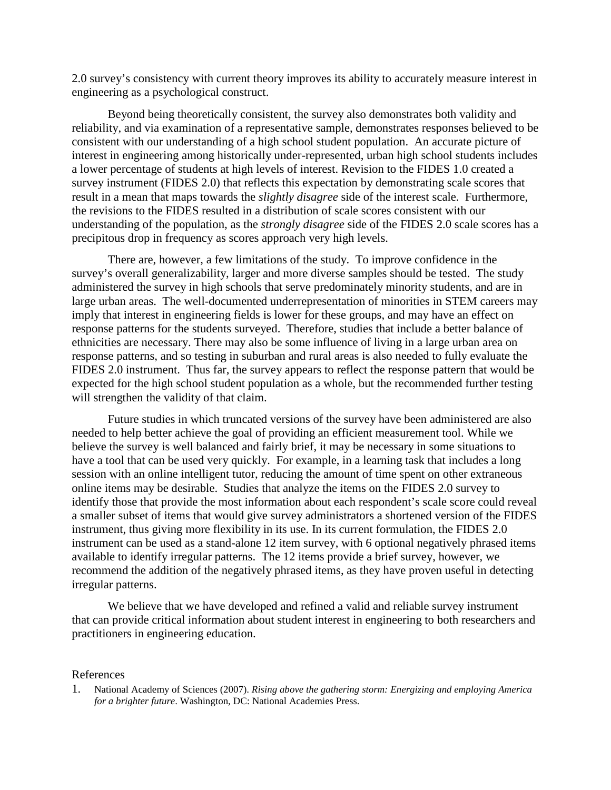2.0 survey's consistency with current theory improves its ability to accurately measure interest in engineering as a psychological construct.

Beyond being theoretically consistent, the survey also demonstrates both validity and reliability, and via examination of a representative sample, demonstrates responses believed to be consistent with our understanding of a high school student population. An accurate picture of interest in engineering among historically under-represented, urban high school students includes a lower percentage of students at high levels of interest. Revision to the FIDES 1.0 created a survey instrument (FIDES 2.0) that reflects this expectation by demonstrating scale scores that result in a mean that maps towards the *slightly disagree* side of the interest scale. Furthermore, the revisions to the FIDES resulted in a distribution of scale scores consistent with our understanding of the population, as the *strongly disagree* side of the FIDES 2.0 scale scores has a precipitous drop in frequency as scores approach very high levels.

There are, however, a few limitations of the study. To improve confidence in the survey's overall generalizability, larger and more diverse samples should be tested. The study administered the survey in high schools that serve predominately minority students, and are in large urban areas. The well-documented underrepresentation of minorities in STEM careers may imply that interest in engineering fields is lower for these groups, and may have an effect on response patterns for the students surveyed. Therefore, studies that include a better balance of ethnicities are necessary. There may also be some influence of living in a large urban area on response patterns, and so testing in suburban and rural areas is also needed to fully evaluate the FIDES 2.0 instrument. Thus far, the survey appears to reflect the response pattern that would be expected for the high school student population as a whole, but the recommended further testing will strengthen the validity of that claim.

Future studies in which truncated versions of the survey have been administered are also needed to help better achieve the goal of providing an efficient measurement tool. While we believe the survey is well balanced and fairly brief, it may be necessary in some situations to have a tool that can be used very quickly. For example, in a learning task that includes a long session with an online intelligent tutor, reducing the amount of time spent on other extraneous online items may be desirable. Studies that analyze the items on the FIDES 2.0 survey to identify those that provide the most information about each respondent's scale score could reveal a smaller subset of items that would give survey administrators a shortened version of the FIDES instrument, thus giving more flexibility in its use. In its current formulation, the FIDES 2.0 instrument can be used as a stand-alone 12 item survey, with 6 optional negatively phrased items available to identify irregular patterns. The 12 items provide a brief survey, however, we recommend the addition of the negatively phrased items, as they have proven useful in detecting irregular patterns.

We believe that we have developed and refined a valid and reliable survey instrument that can provide critical information about student interest in engineering to both researchers and practitioners in engineering education.

## References

1. National Academy of Sciences (2007). *Rising above the gathering storm: Energizing and employing America for a brighter future*. Washington, DC: National Academies Press.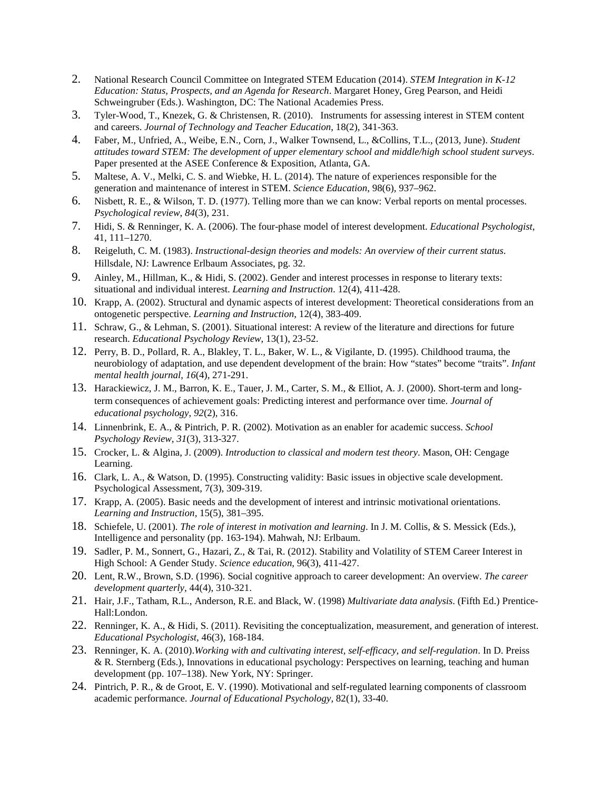- 2. National Research Council Committee on Integrated STEM Education (2014). *STEM Integration in K-12 Education: Status, Prospects, and an Agenda for Research*. Margaret Honey, Greg Pearson, and Heidi Schweingruber (Eds.). Washington, DC: The National Academies Press.
- 3. Tyler-Wood, T., Knezek, G. & Christensen, R. (2010). Instruments for assessing interest in STEM content and careers. *Journal of Technology and Teacher Education*, 18(2), 341-363.
- 4. Faber, M., Unfried, A., Weibe, E.N., Corn, J., Walker Townsend, L., &Collins, T.L., (2013, June). *Student attitudes toward STEM: The development of upper elementary school and middle/high school student surveys*. Paper presented at the ASEE Conference & Exposition, Atlanta, GA.
- 5. Maltese, A. V., Melki, C. S. and Wiebke, H. L. (2014). The nature of experiences responsible for the generation and maintenance of interest in STEM. *Science Education*, 98(6), 937–962.
- 6. Nisbett, R. E., & Wilson, T. D. (1977). Telling more than we can know: Verbal reports on mental processes. *Psychological review*, *84*(3), 231.
- 7. Hidi, S. & Renninger, K. A. (2006). The four-phase model of interest development. *Educational Psychologist*, 41, 111–1270.
- 8. Reigeluth, C. M. (1983). *Instructional-design theories and models: An overview of their current status*. Hillsdale, NJ: Lawrence Erlbaum Associates, pg. 32.
- 9. Ainley, M., Hillman, K., & Hidi, S. (2002). Gender and interest processes in response to literary texts: situational and individual interest. *Learning and Instruction*. 12(4), 411-428.
- 10. Krapp, A. (2002). Structural and dynamic aspects of interest development: Theoretical considerations from an ontogenetic perspective. *Learning and Instruction*, 12(4), 383-409.
- 11. Schraw, G., & Lehman, S. (2001). Situational interest: A review of the literature and directions for future research. *Educational Psychology Review*, 13(1), 23-52.
- 12. Perry, B. D., Pollard, R. A., Blakley, T. L., Baker, W. L., & Vigilante, D. (1995). Childhood trauma, the neurobiology of adaptation, and use dependent development of the brain: How "states" become "traits". *Infant mental health journal*, *16*(4), 271-291.
- 13. Harackiewicz, J. M., Barron, K. E., Tauer, J. M., Carter, S. M., & Elliot, A. J. (2000). Short-term and longterm consequences of achievement goals: Predicting interest and performance over time. *Journal of educational psychology*, *92*(2), 316.
- 14. Linnenbrink, E. A., & Pintrich, P. R. (2002). Motivation as an enabler for academic success. *School Psychology Review*, *31*(3), 313-327.
- 15. Crocker, L. & Algina, J. (2009). *Introduction to classical and modern test theory*. Mason, OH: Cengage Learning.
- 16. Clark, L. A., & Watson, D. (1995). Constructing validity: Basic issues in objective scale development. Psychological Assessment, 7(3), 309-319.
- 17. Krapp, A. (2005). Basic needs and the development of interest and intrinsic motivational orientations. *Learning and Instruction*, 15(5), 381–395.
- 18. Schiefele, U. (2001). *The role of interest in motivation and learning*. In J. M. Collis, & S. Messick (Eds.), Intelligence and personality (pp. 163-194). Mahwah, NJ: Erlbaum.
- 19. Sadler, P. M., Sonnert, G., Hazari, Z., & Tai, R. (2012). Stability and Volatility of STEM Career Interest in High School: A Gender Study. *Science education,* 96(3), 411-427.
- 20. Lent, R.W., Brown, S.D. (1996). Social cognitive approach to career development: An overview. *The career development quarterly,* 44(4), 310-321.
- 21. Hair, J.F., Tatham, R.L., Anderson, R.E. and Black, W. (1998) *Multivariate data analysis*. (Fifth Ed.) Prentice-Hall:London.
- 22. Renninger, K. A., & Hidi, S. (2011). Revisiting the conceptualization, measurement, and generation of interest. *Educational Psychologist*, 46(3), 168-184.
- 23. Renninger, K. A. (2010).*Working with and cultivating interest, self-efficacy, and self-regulation*. In D. Preiss & R. Sternberg (Eds.), Innovations in educational psychology: Perspectives on learning, teaching and human development (pp. 107–138). New York, NY: Springer.
- 24. Pintrich, P. R., & de Groot, E. V. (1990). Motivational and self-regulated learning components of classroom academic performance. *Journal of Educational Psychology,* 82(1), 33-40.